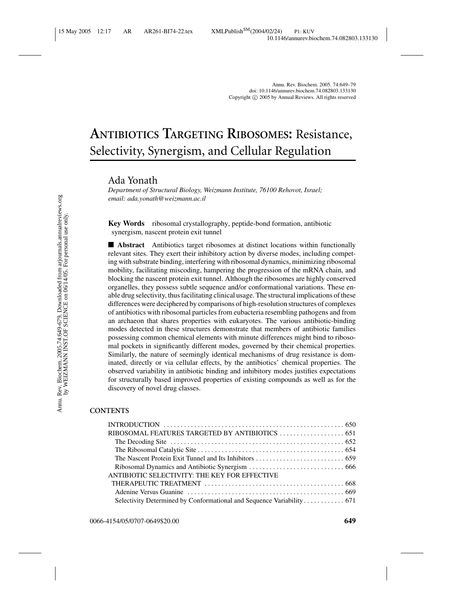# **ANTIBIOTICS TARGETING RIBOSOMES:** Resistance, Selectivity, Synergism, and Cellular Regulation

# Ada Yonath

*Department of Structural Biology, Weizmann Institute, 76100 Rehovot, Israel; email: ada.yonath@weizmann.ac.il*

**Key Words** ribosomal crystallography, peptide-bond formation, antibiotic synergism, nascent protein exit tunnel

■ **Abstract** Antibiotics target ribosomes at distinct locations within functionally relevant sites. They exert their inhibitory action by diverse modes, including competing with substrate binding, interfering with ribosomal dynamics, minimizing ribosomal mobility, facilitating miscoding, hampering the progression of the mRNA chain, and blocking the nascent protein exit tunnel. Although the ribosomes are highly conserved organelles, they possess subtle sequence and/or conformational variations. These enable drug selectivity, thus facilitating clinical usage. The structural implications of these differences were deciphered by comparisons of high-resolution structures of complexes of antibiotics with ribosomal particles from eubacteria resembling pathogens and from an archaeon that shares properties with eukaryotes. The various antibiotic-binding modes detected in these structures demonstrate that members of antibiotic families possessing common chemical elements with minute differences might bind to ribosomal pockets in significantly different modes, governed by their chemical properties. Similarly, the nature of seemingly identical mechanisms of drug resistance is dominated, directly or via cellular effects, by the antibiotics' chemical properties. The observed variability in antibiotic binding and inhibitory modes justifies expectations for structurally based improved properties of existing compounds as well as for the discovery of novel drug classes.

## **CONTENTS**

| ANTIBIOTIC SELECTIVITY: THE KEY FOR EFFECTIVE                         |
|-----------------------------------------------------------------------|
|                                                                       |
|                                                                       |
| Selectivity Determined by Conformational and Sequence Variability 671 |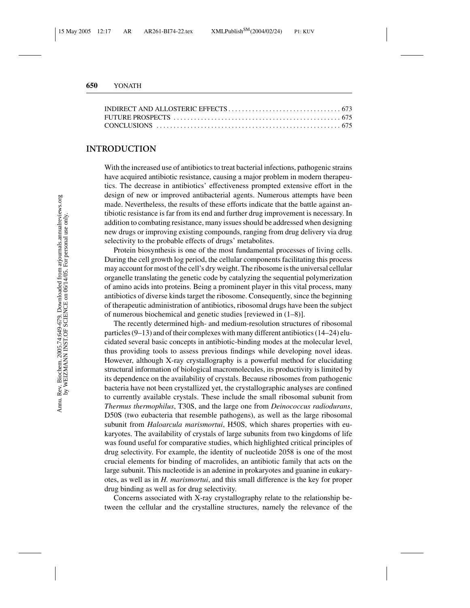# **INTRODUCTION**

With the increased use of antibiotics to treat bacterial infections, pathogenic strains have acquired antibiotic resistance, causing a major problem in modern therapeutics. The decrease in antibiotics' effectiveness prompted extensive effort in the design of new or improved antibacterial agents. Numerous attempts have been made. Nevertheless, the results of these efforts indicate that the battle against antibiotic resistance is far from its end and further drug improvement is necessary. In addition to combating resistance, many issues should be addressed when designing new drugs or improving existing compounds, ranging from drug delivery via drug selectivity to the probable effects of drugs' metabolites.

Protein biosynthesis is one of the most fundamental processes of living cells. During the cell growth log period, the cellular components facilitating this process may account for most of the cell's dry weight. The ribosome is the universal cellular organelle translating the genetic code by catalyzing the sequential polymerization of amino acids into proteins. Being a prominent player in this vital process, many antibiotics of diverse kinds target the ribosome. Consequently, since the beginning of therapeutic administration of antibiotics, ribosomal drugs have been the subject of numerous biochemical and genetic studies [reviewed in (1–8)].

The recently determined high- and medium-resolution structures of ribosomal particles (9–13) and of their complexes with many different antibiotics (14–24) elucidated several basic concepts in antibiotic-binding modes at the molecular level, thus providing tools to assess previous findings while developing novel ideas. However, although X-ray crystallography is a powerful method for elucidating structural information of biological macromolecules, its productivity is limited by its dependence on the availability of crystals. Because ribosomes from pathogenic bacteria have not been crystallized yet, the crystallographic analyses are confined to currently available crystals. These include the small ribosomal subunit from *Thermus thermophilus*, T30S, and the large one from *Deinococcus radiodurans*, D50S (two eubacteria that resemble pathogens), as well as the large ribosomal subunit from *Haloarcula marismortui*, H50S, which shares properties with eukaryotes. The availability of crystals of large subunits from two kingdoms of life was found useful for comparative studies, which highlighted critical principles of drug selectivity. For example, the identity of nucleotide 2058 is one of the most crucial elements for binding of macrolides, an antibiotic family that acts on the large subunit. This nucleotide is an adenine in prokaryotes and guanine in eukaryotes, as well as in *H. marismortui*, and this small difference is the key for proper drug binding as well as for drug selectivity.

Concerns associated with X-ray crystallography relate to the relationship between the cellular and the crystalline structures, namely the relevance of the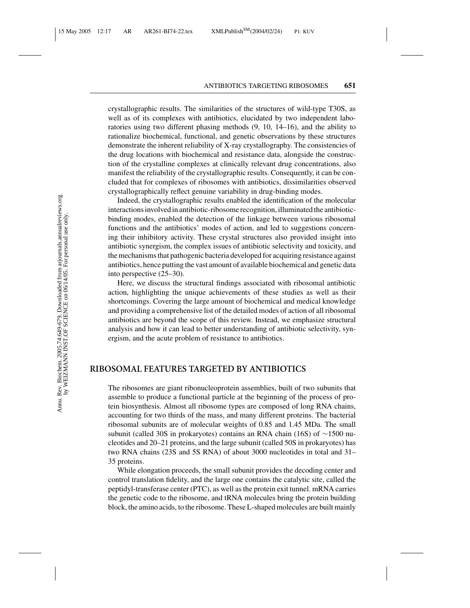crystallographic results. The similarities of the structures of wild-type T30S, as well as of its complexes with antibiotics, elucidated by two independent laboratories using two different phasing methods (9, 10, 14–16), and the ability to rationalize biochemical, functional, and genetic observations by these structures demonstrate the inherent reliability of X-ray crystallography. The consistencies of the drug locations with biochemical and resistance data, alongside the construction of the crystalline complexes at clinically relevant drug concentrations, also manifest the reliability of the crystallographic results. Consequently, it can be concluded that for complexes of ribosomes with antibiotics, dissimilarities observed crystallographically reflect genuine variability in drug-binding modes.

Indeed, the crystallographic results enabled the identification of the molecular interactions involved in antibiotic-ribosome recognition, illuminated the antibioticbinding modes, enabled the detection of the linkage between various ribosomal functions and the antibiotics' modes of action, and led to suggestions concerning their inhibitory activity. These crystal structures also provided insight into antibiotic synergism, the complex issues of antibiotic selectivity and toxicity, and the mechanisms that pathogenic bacteria developed for acquiring resistance against antibiotics, hence putting the vast amount of available biochemical and genetic data into perspective (25–30).

Here, we discuss the structural findings associated with ribosomal antibiotic action, highlighting the unique achievements of these studies as well as their shortcomings. Covering the large amount of biochemical and medical knowledge and providing a comprehensive list of the detailed modes of action of all ribosomal antibiotics are beyond the scope of this review. Instead, we emphasize structural analysis and how it can lead to better understanding of antibiotic selectivity, synergism, and the acute problem of resistance to antibiotics.

# **RIBOSOMAL FEATURES TARGETED BY ANTIBIOTICS**

The ribosomes are giant ribonucleoprotein assemblies, built of two subunits that assemble to produce a functional particle at the beginning of the process of protein biosynthesis. Almost all ribosome types are composed of long RNA chains, accounting for two thirds of the mass, and many different proteins. The bacterial ribosomal subunits are of molecular weights of 0.85 and 1.45 MDa. The small subunit (called 30S in prokaryotes) contains an RNA chain (16S) of ∼1500 nucleotides and 20–21 proteins, and the large subunit (called 50S in prokaryotes) has two RNA chains (23S and 5S RNA) of about 3000 nucleotides in total and 31– 35 proteins.

While elongation proceeds, the small subunit provides the decoding center and control translation fidelity, and the large one contains the catalytic site, called the peptidyl-transferase center (PTC), as well as the protein exit tunnel. mRNA carries the genetic code to the ribosome, and tRNA molecules bring the protein building block, the amino acids, to the ribosome. These L-shaped molecules are built mainly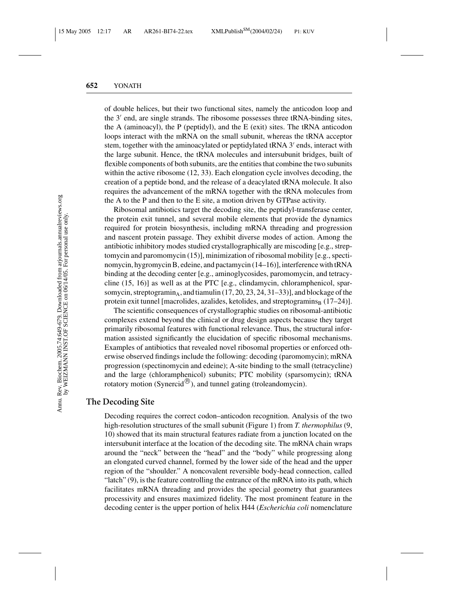of double helices, but their two functional sites, namely the anticodon loop and the 3' end, are single strands. The ribosome possesses three tRNA-binding sites, the A (aminoacyl), the P (peptidyl), and the E (exit) sites. The tRNA anticodon loops interact with the mRNA on the small subunit, whereas the tRNA acceptor stem, together with the aminoacylated or peptidylated tRNA 3' ends, interact with the large subunit. Hence, the tRNA molecules and intersubunit bridges, built of flexible components of both subunits, are the entities that combine the two subunits within the active ribosome (12, 33). Each elongation cycle involves decoding, the creation of a peptide bond, and the release of a deacylated tRNA molecule. It also requires the advancement of the mRNA together with the tRNA molecules from the A to the P and then to the E site, a motion driven by GTPase activity.

Ribosomal antibiotics target the decoding site, the peptidyl-transferase center, the protein exit tunnel, and several mobile elements that provide the dynamics required for protein biosynthesis, including mRNA threading and progression and nascent protein passage. They exhibit diverse modes of action. Among the antibiotic inhibitory modes studied crystallographically are miscoding [e.g., streptomycin and paromomycin (15)], minimization of ribosomal mobility [e.g., spectinomycin, hygromycin B, edeine, and pactamycin (14–16)], interference with tRNA binding at the decoding center [e.g., aminoglycosides, paromomycin, and tetracycline (15, 16)] as well as at the PTC [e.g., clindamycin, chloramphenicol, sparsomycin, streptogramin<sub>A</sub>, and tiamulin  $(17, 20, 23, 24, 31–33)$ ], and blockage of the protein exit tunnel [macrolides, azalides, ketolides, and streptogramins $_B$  (17–24)].

The scientific consequences of crystallographic studies on ribosomal-antibiotic complexes extend beyond the clinical or drug design aspects because they target primarily ribosomal features with functional relevance. Thus, the structural information assisted significantly the elucidation of specific ribosomal mechanisms. Examples of antibiotics that revealed novel ribosomal properties or enforced otherwise observed findings include the following: decoding (paromomycin); mRNA progression (spectinomycin and edeine); A-site binding to the small (tetracycline) and the large (chloramphenicol) subunits; PTC mobility (sparsomycin); tRNA rotatory motion (Synercid $^{(8)}$ ), and tunnel gating (troleandomycin).

## **The Decoding Site**

Decoding requires the correct codon–anticodon recognition. Analysis of the two high-resolution structures of the small subunit (Figure 1) from *T. thermophilus* (9, 10) showed that its main structural features radiate from a junction located on the intersubunit interface at the location of the decoding site. The mRNA chain wraps around the "neck" between the "head" and the "body" while progressing along an elongated curved channel, formed by the lower side of the head and the upper region of the "shoulder." A noncovalent reversible body-head connection, called "latch"  $(9)$ , is the feature controlling the entrance of the mRNA into its path, which facilitates mRNA threading and provides the special geometry that guarantees processivity and ensures maximized fidelity. The most prominent feature in the decoding center is the upper portion of helix H44 (*Escherichia coli* nomenclature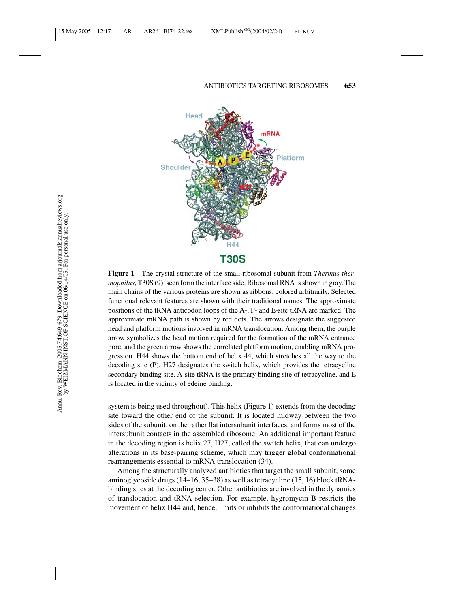

**Figure 1** The crystal structure of the small ribosomal subunit from *Thermus thermophilus*, T30S (9), seen form the interface side. Ribosomal RNA is shown in gray. The main chains of the various proteins are shown as ribbons, colored arbitrarily. Selected functional relevant features are shown with their traditional names. The approximate positions of the tRNA anticodon loops of the A-, P- and E-site tRNA are marked. The approximate mRNA path is shown by red dots. The arrows designate the suggested head and platform motions involved in mRNA translocation. Among them, the purple arrow symbolizes the head motion required for the formation of the mRNA entrance pore, and the green arrow shows the correlated platform motion, enabling mRNA progression. H44 shows the bottom end of helix 44, which stretches all the way to the decoding site (P). H27 designates the switch helix, which provides the tetracycline secondary binding site. A-site tRNA is the primary binding site of tetracycline, and E is located in the vicinity of edeine binding.

system is being used throughout). This helix (Figure 1) extends from the decoding site toward the other end of the subunit. It is located midway between the two sides of the subunit, on the rather flat intersubunit interfaces, and forms most of the intersubunit contacts in the assembled ribosome. An additional important feature in the decoding region is helix 27, H27, called the switch helix, that can undergo alterations in its base-pairing scheme, which may trigger global conformational rearrangements essential to mRNA translocation (34).

Among the structurally analyzed antibiotics that target the small subunit, some aminoglycoside drugs (14–16, 35–38) as well as tetracycline (15, 16) block tRNAbinding sites at the decoding center. Other antibiotics are involved in the dynamics of translocation and tRNA selection. For example, hygromycin B restricts the movement of helix H44 and, hence, limits or inhibits the conformational changes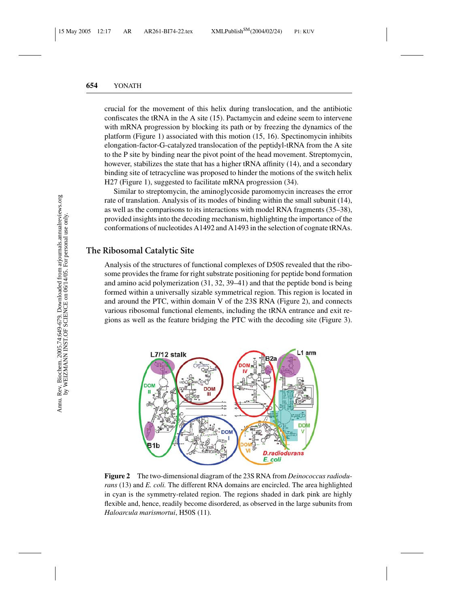crucial for the movement of this helix during translocation, and the antibiotic confiscates the tRNA in the A site (15). Pactamycin and edeine seem to intervene with mRNA progression by blocking its path or by freezing the dynamics of the platform (Figure 1) associated with this motion (15, 16). Spectinomycin inhibits elongation-factor-G-catalyzed translocation of the peptidyl-tRNA from the A site to the P site by binding near the pivot point of the head movement. Streptomycin, however, stabilizes the state that has a higher tRNA affinity (14), and a secondary binding site of tetracycline was proposed to hinder the motions of the switch helix H27 (Figure 1), suggested to facilitate mRNA progression (34).

Similar to streptomycin, the aminoglycoside paromomycin increases the error rate of translation. Analysis of its modes of binding within the small subunit (14), as well as the comparisons to its interactions with model RNA fragments (35–38), provided insights into the decoding mechanism, highlighting the importance of the conformations of nucleotides A1492 and A1493 in the selection of cognate tRNAs.

## **The Ribosomal Catalytic Site**

Analysis of the structures of functional complexes of D50S revealed that the ribosome provides the frame for right substrate positioning for peptide bond formation and amino acid polymerization (31, 32, 39–41) and that the peptide bond is being formed within a universally sizable symmetrical region. This region is located in and around the PTC, within domain V of the 23S RNA (Figure 2), and connects various ribosomal functional elements, including the tRNA entrance and exit regions as well as the feature bridging the PTC with the decoding site (Figure 3).



**Figure 2** The two-dimensional diagram of the 23S RNA from *Deinococcus radiodurans* (13) and *E. coli.* The different RNA domains are encircled. The area highlighted in cyan is the symmetry-related region. The regions shaded in dark pink are highly flexible and, hence, readily become disordered, as observed in the large subunits from *Haloarcula marismortui*, H50S (11).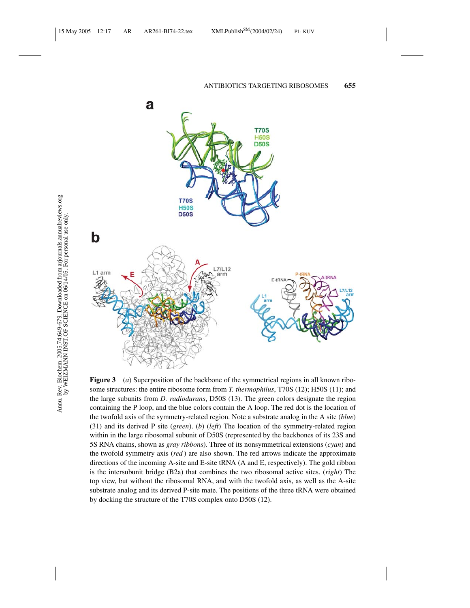

**Figure 3** (*a*) Superposition of the backbone of the symmetrical regions in all known ribosome structures: the entire ribosome form from *T. thermophilus*, T70S (12); H50S (11); and the large subunits from *D. radiodurans*, D50S (13). The green colors designate the region containing the P loop, and the blue colors contain the A loop. The red dot is the location of the twofold axis of the symmetry-related region. Note a substrate analog in the A site (*blue*) (31) and its derived P site (*green*). (*b*) (*left*) The location of the symmetry-related region within in the large ribosomal subunit of D50S (represented by the backbones of its 23S and 5S RNA chains, shown as *gray ribbons*). Three of its nonsymmetrical extensions (*cyan*) and the twofold symmetry axis (*red* ) are also shown. The red arrows indicate the approximate directions of the incoming A-site and E-site tRNA (A and E, respectively). The gold ribbon is the intersubunit bridge (B2a) that combines the two ribosomal active sites. (*right*) The top view, but without the ribosomal RNA, and with the twofold axis, as well as the A-site substrate analog and its derived P-site mate. The positions of the three tRNA were obtained by docking the structure of the T70S complex onto D50S (12).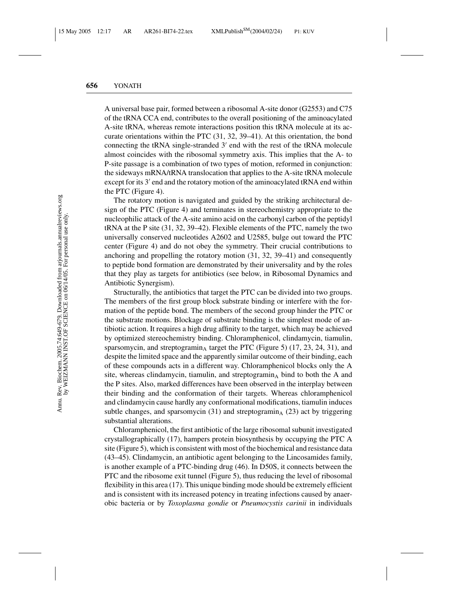A universal base pair, formed between a ribosomal A-site donor (G2553) and C75 of the tRNA CCA end, contributes to the overall positioning of the aminoacylated A-site tRNA, whereas remote interactions position this tRNA molecule at its accurate orientations within the PTC  $(31, 32, 39-41)$ . At this orientation, the bond connecting the tRNA single-stranded  $3'$  end with the rest of the tRNA molecule almost coincides with the ribosomal symmetry axis. This implies that the A- to P-site passage is a combination of two types of motion, reformed in conjunction: the sideways mRNA/tRNA translocation that applies to the A-site tRNA molecule except for its 3' end and the rotatory motion of the aminoacylated tRNA end within the PTC (Figure 4).

The rotatory motion is navigated and guided by the striking architectural design of the PTC (Figure 4) and terminates in stereochemistry appropriate to the nucleophilic attack of the A-site amino acid on the carbonyl carbon of the peptidyl tRNA at the P site (31, 32, 39–42). Flexible elements of the PTC, namely the two universally conserved nucleotides A2602 and U2585, bulge out toward the PTC center (Figure 4) and do not obey the symmetry. Their crucial contributions to anchoring and propelling the rotatory motion (31, 32, 39–41) and consequently to peptide bond formation are demonstrated by their universality and by the roles that they play as targets for antibiotics (see below, in Ribosomal Dynamics and Antibiotic Synergism).

Structurally, the antibiotics that target the PTC can be divided into two groups. The members of the first group block substrate binding or interfere with the formation of the peptide bond. The members of the second group hinder the PTC or the substrate motions. Blockage of substrate binding is the simplest mode of antibiotic action. It requires a high drug affinity to the target, which may be achieved by optimized stereochemistry binding. Chloramphenicol, clindamycin, tiamulin, sparsomycin, and streptogramin<sub>A</sub> target the PTC (Figure 5) (17, 23, 24, 31), and despite the limited space and the apparently similar outcome of their binding, each of these compounds acts in a different way. Chloramphenicol blocks only the A site, whereas clindamycin, tiamulin, and streptogramin<sub>A</sub> bind to both the A and the P sites. Also, marked differences have been observed in the interplay between their binding and the conformation of their targets. Whereas chloramphenicol and clindamycin cause hardly any conformational modifications, tiamulin induces subtle changes, and sparsomycin  $(31)$  and streptogramin<sub>A</sub>  $(23)$  act by triggering substantial alterations.

Chloramphenicol, the first antibiotic of the large ribosomal subunit investigated crystallographically (17), hampers protein biosynthesis by occupying the PTC A site (Figure 5), which is consistent with most of the biochemical and resistance data (43–45). Clindamycin, an antibiotic agent belonging to the Lincosamides family, is another example of a PTC-binding drug (46). In D50S, it connects between the PTC and the ribosome exit tunnel (Figure 5), thus reducing the level of ribosomal flexibility in this area (17). This unique binding mode should be extremely efficient and is consistent with its increased potency in treating infections caused by anaerobic bacteria or by *Toxoplasma gondie* or *Pneumocystis carinii* in individuals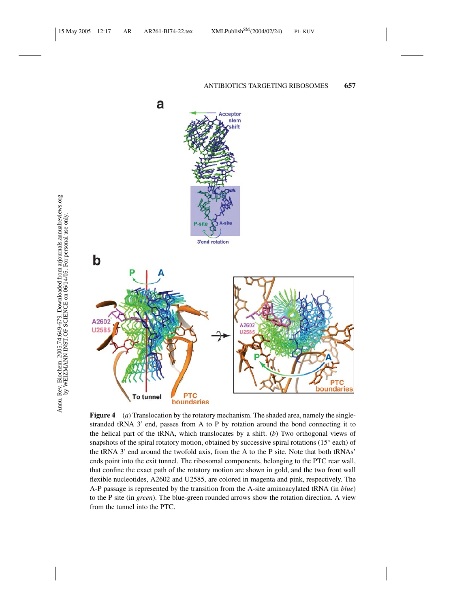

**Figure 4** (*a*) Translocation by the rotatory mechanism. The shaded area, namely the singlestranded tRNA 3' end, passes from A to P by rotation around the bond connecting it to the helical part of the tRNA, which translocates by a shift. (*b*) Two orthogonal views of snapshots of the spiral rotatory motion, obtained by successive spiral rotations ( $15°$  each) of the tRNA  $3'$  end around the twofold axis, from the A to the P site. Note that both tRNAs' ends point into the exit tunnel. The ribosomal components, belonging to the PTC rear wall, that confine the exact path of the rotatory motion are shown in gold, and the two front wall flexible nucleotides, A2602 and U2585, are colored in magenta and pink, respectively. The A-P passage is represented by the transition from the A-site aminoacylated tRNA (in *blue*) to the P site (in *green*). The blue-green rounded arrows show the rotation direction. A view from the tunnel into the PTC.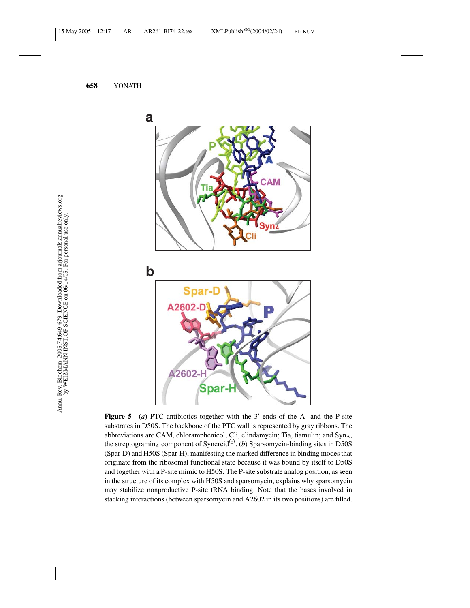

**Figure 5** (*a*) PTC antibiotics together with the  $3'$  ends of the A- and the P-site substrates in D50S. The backbone of the PTC wall is represented by gray ribbons. The abbreviations are CAM, chloramphenicol; Cli, clindamycin; Tia, tiamulin; and SynA, the streptogramin<sub>A</sub> component of Synercid<sup>®</sup>. (*b*) Sparsomycin-binding sites in D50S (Spar-D) and H50S (Spar-H), manifesting the marked difference in binding modes that originate from the ribosomal functional state because it was bound by itself to D50S and together with a P-site mimic to H50S. The P-site substrate analog position, as seen in the structure of its complex with H50S and sparsomycin, explains why sparsomycin may stabilize nonproductive P-site tRNA binding. Note that the bases involved in stacking interactions (between sparsomycin and A2602 in its two positions) are filled.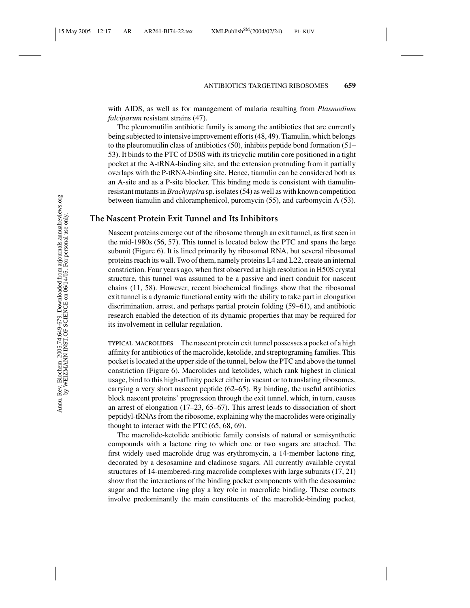with AIDS, as well as for management of malaria resulting from *Plasmodium falciparum* resistant strains (47).

The pleuromutilin antibiotic family is among the antibiotics that are currently being subjected to intensive improvement efforts (48, 49). Tiamulin, which belongs to the pleuromutilin class of antibiotics (50), inhibits peptide bond formation (51– 53). It binds to the PTC of D50S with its tricyclic mutilin core positioned in a tight pocket at the A-tRNA-binding site, and the extension protruding from it partially overlaps with the P-tRNA-binding site. Hence, tiamulin can be considered both as an A-site and as a P-site blocker. This binding mode is consistent with tiamulinresistant mutants in*Brachyspira* sp. isolates (54) as well as with known competition between tiamulin and chloramphenicol, puromycin (55), and carbomycin A (53).

# **The Nascent Protein Exit Tunnel and Its Inhibitors**

Nascent proteins emerge out of the ribosome through an exit tunnel, as first seen in the mid-1980s (56, 57). This tunnel is located below the PTC and spans the large subunit (Figure 6). It is lined primarily by ribosomal RNA, but several ribosomal proteins reach its wall. Two of them, namely proteins L4 and L22, create an internal constriction. Four years ago, when first observed at high resolution in H50S crystal structure, this tunnel was assumed to be a passive and inert conduit for nascent chains (11, 58). However, recent biochemical findings show that the ribosomal exit tunnel is a dynamic functional entity with the ability to take part in elongation discrimination, arrest, and perhaps partial protein folding (59–61), and antibiotic research enabled the detection of its dynamic properties that may be required for its involvement in cellular regulation.

**TYPICAL MACROLIDES** The nascent protein exit tunnel possesses a pocket of a high affinity for antibiotics of the macrolide, ketolide, and streptograming families. This pocket is located at the upper side of the tunnel, below the PTC and above the tunnel constriction (Figure 6). Macrolides and ketolides, which rank highest in clinical usage, bind to this high-affinity pocket either in vacant or to translating ribosomes, carrying a very short nascent peptide (62–65). By binding, the useful antibiotics block nascent proteins' progression through the exit tunnel, which, in turn, causes an arrest of elongation (17–23, 65–67). This arrest leads to dissociation of short peptidyl-tRNAs from the ribosome, explaining why the macrolides were originally thought to interact with the PTC (65, 68, 69).

The macrolide-ketolide antibiotic family consists of natural or semisynthetic compounds with a lactone ring to which one or two sugars are attached. The first widely used macrolide drug was erythromycin, a 14-member lactone ring, decorated by a desosamine and cladinose sugars. All currently available crystal structures of 14-membered-ring macrolide complexes with large subunits (17, 21) show that the interactions of the binding pocket components with the desosamine sugar and the lactone ring play a key role in macrolide binding. These contacts involve predominantly the main constituents of the macrolide-binding pocket,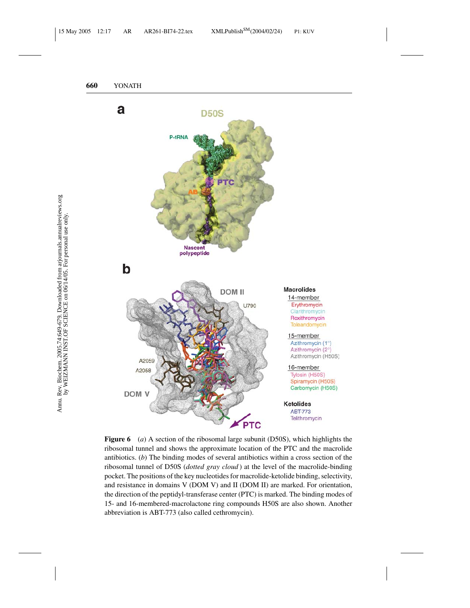

**Figure 6** (*a*) A section of the ribosomal large subunit (D50S), which highlights the ribosomal tunnel and shows the approximate location of the PTC and the macrolide antibiotics. (*b*) The binding modes of several antibiotics within a cross section of the ribosomal tunnel of D50S (*dotted gray cloud* ) at the level of the macrolide-binding pocket. The positions of the key nucleotides for macrolide-ketolide binding, selectivity, and resistance in domains V (DOM V) and II (DOM II) are marked. For orientation, the direction of the peptidyl-transferase center (PTC) is marked. The binding modes of 15- and 16-membered-macrolactone ring compounds H50S are also shown. Another abbreviation is ABT-773 (also called cethromycin).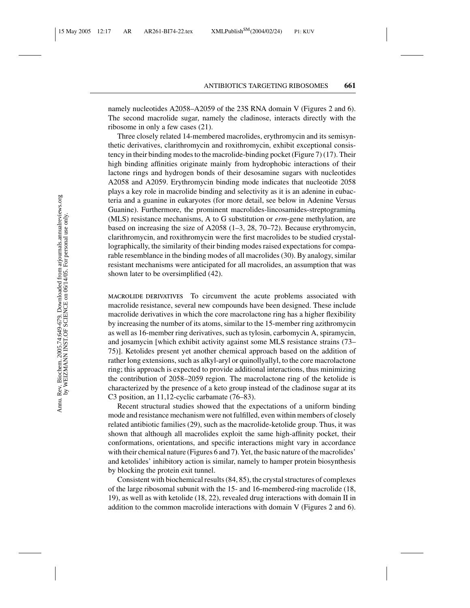namely nucleotides A2058–A2059 of the 23S RNA domain V (Figures 2 and 6). The second macrolide sugar, namely the cladinose, interacts directly with the ribosome in only a few cases (21).

Three closely related 14-membered macrolides, erythromycin and its semisynthetic derivatives, clarithromycin and roxithromycin, exhibit exceptional consistency in their binding modes to the macrolide-binding pocket (Figure 7) (17). Their high binding affinities originate mainly from hydrophobic interactions of their lactone rings and hydrogen bonds of their desosamine sugars with nucleotides A2058 and A2059. Erythromycin binding mode indicates that nucleotide 2058 plays a key role in macrolide binding and selectivity as it is an adenine in eubacteria and a guanine in eukaryotes (for more detail, see below in Adenine Versus Guanine). Furthermore, the prominent macrolides-lincosamides-streptogramin<sub>B</sub> (MLS) resistance mechanisms, A to G substitution or *erm*-gene methylation, are based on increasing the size of A2058 (1–3, 28, 70–72). Because erythromycin, clarithromycin, and roxithromycin were the first macrolides to be studied crystallographically, the similarity of their binding modes raised expectations for comparable resemblance in the binding modes of all macrolides (30). By analogy, similar resistant mechanisms were anticipated for all macrolides, an assumption that was shown later to be oversimplified (42).

**MACROLIDE DERIVATIVES** To circumvent the acute problems associated with macrolide resistance, several new compounds have been designed. These include macrolide derivatives in which the core macrolactone ring has a higher flexibility by increasing the number of its atoms, similar to the 15-member ring azithromycin as well as 16-member ring derivatives, such as tylosin, carbomycin A, spiramycin, and josamycin [which exhibit activity against some MLS resistance strains (73– 75)]. Ketolides present yet another chemical approach based on the addition of rather long extensions, such as alkyl-aryl or quinollyallyl, to the core macrolactone ring; this approach is expected to provide additional interactions, thus minimizing the contribution of 2058–2059 region. The macrolactone ring of the ketolide is characterized by the presence of a keto group instead of the cladinose sugar at its C3 position, an 11,12-cyclic carbamate (76–83).

Recent structural studies showed that the expectations of a uniform binding mode and resistance mechanism were not fulfilled, even within members of closely related antibiotic families (29), such as the macrolide-ketolide group. Thus, it was shown that although all macrolides exploit the same high-affinity pocket, their conformations, orientations, and specific interactions might vary in accordance with their chemical nature (Figures 6 and 7**)**. Yet, the basic nature of the macrolides' and ketolides' inhibitory action is similar, namely to hamper protein biosynthesis by blocking the protein exit tunnel.

Consistent with biochemical results (84, 85), the crystal structures of complexes of the large ribosomal subunit with the 15- and 16-membered-ring macrolide (18, 19), as well as with ketolide (18, 22), revealed drug interactions with domain II in addition to the common macrolide interactions with domain V (Figures 2 and 6).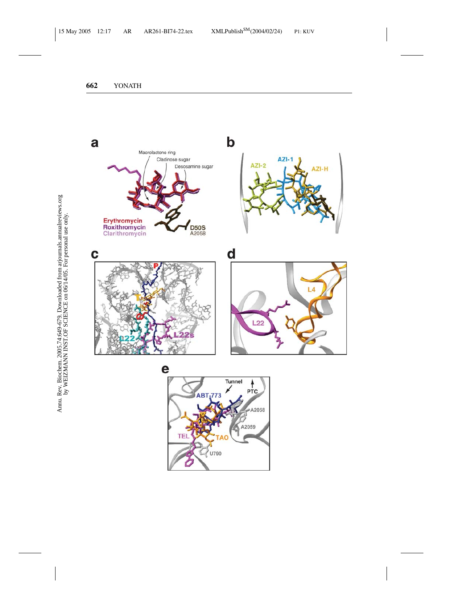

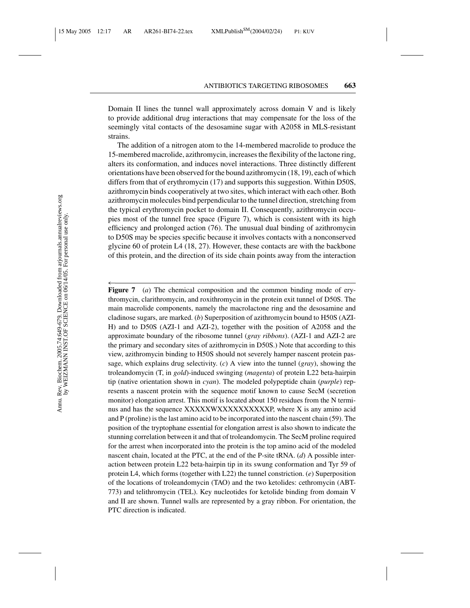Domain II lines the tunnel wall approximately across domain V and is likely to provide additional drug interactions that may compensate for the loss of the seemingly vital contacts of the desosamine sugar with A2058 in MLS-resistant strains.

The addition of a nitrogen atom to the 14-membered macrolide to produce the 15-membered macrolide, azithromycin, increases the flexibility of the lactone ring, alters its conformation, and induces novel interactions. Three distinctly different orientations have been observed for the bound azithromycin (18, 19), each of which differs from that of erythromycin (17) and supports this suggestion. Within D50S, azithromycin binds cooperatively at two sites, which interact with each other. Both azithromycin molecules bind perpendicular to the tunnel direction, stretching from the typical erythromycin pocket to domain II. Consequently, azithromycin occupies most of the tunnel free space (Figure 7), which is consistent with its high efficiency and prolonged action (76). The unusual dual binding of azithromycin to D50S may be species specific because it involves contacts with a nonconserved glycine 60 of protein L4 (18, 27). However, these contacts are with the backbone of this protein, and the direction of its side chain points away from the interaction

Figure 7 (*a*) The chemical composition and the common binding mode of erythromycin, clarithromycin, and roxithromycin in the protein exit tunnel of D50S. The main macrolide components, namely the macrolactone ring and the desosamine and cladinose sugars, are marked. (*b*) Superposition of azithromycin bound to H50S (AZI-H) and to D50S (AZI-1 and AZI-2), together with the position of A2058 and the approximate boundary of the ribosome tunnel (*gray ribbons*). (AZI-1 and AZI-2 are the primary and secondary sites of azithromycin in D50S.) Note that according to this view, azithromycin binding to H50S should not severely hamper nascent protein passage, which explains drug selectivity. (*c*) A view into the tunnel (*gray*), showing the troleandomycin (T, in *gold*)-induced swinging (*magenta*) of protein L22 beta-hairpin tip (native orientation shown in *cyan*). The modeled polypeptide chain (*purple*) represents a nascent protein with the sequence motif known to cause SecM (secretion monitor) elongation arrest. This motif is located about 150 residues from the N terminus and has the sequence XXXXXWXXXXXXXXXXP, where X is any amino acid and P (proline) is the last amino acid to be incorporated into the nascent chain (59). The position of the tryptophane essential for elongation arrest is also shown to indicate the stunning correlation between it and that of troleandomycin. The SecM proline required for the arrest when incorporated into the protein is the top amino acid of the modeled nascent chain, located at the PTC, at the end of the P-site tRNA. (*d*) A possible interaction between protein L22 beta-hairpin tip in its swung conformation and Tyr 59 of protein L4, which forms (together with L22) the tunnel constriction. (*e*) Superposition of the locations of troleandomycin (TAO) and the two ketolides: cethromycin (ABT-773) and telithromycin (TEL). Key nucleotides for ketolide binding from domain V and II are shown. Tunnel walls are represented by a gray ribbon. For orientation, the PTC direction is indicated.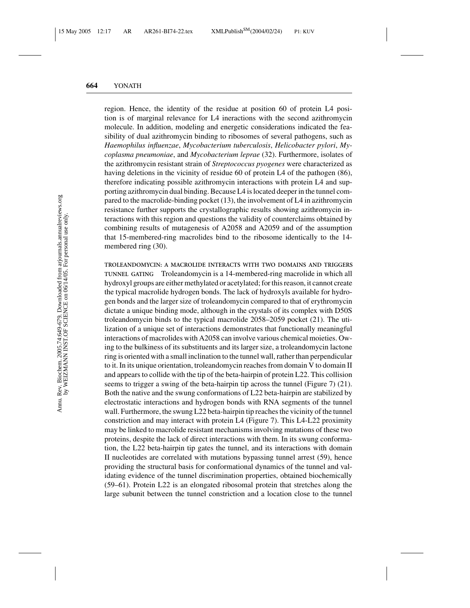region. Hence, the identity of the residue at position 60 of protein L4 position is of marginal relevance for L4 ineractions with the second azithromycin molecule. In addition, modeling and energetic considerations indicated the feasibility of dual azithromycin binding to ribosomes of several pathogens, such as *Haemophilus influenzae*, *Mycobacterium tuberculosis*, *Helicobacter pylori*, *Mycoplasma pneumoniae*, and *Mycobacterium leprae* (32). Furthermore, isolates of the azithromycin resistant strain of *Streptococcus pyogenes* were characterized as having deletions in the vicinity of residue 60 of protein L4 of the pathogen (86), therefore indicating possible azithromycin interactions with protein L4 and supporting azithromycin dual binding. Because L4 is located deeper in the tunnel compared to the macrolide-binding pocket (13), the involvement of L4 in azithromycin resistance further supports the crystallographic results showing azithromycin interactions with this region and questions the validity of counterclaims obtained by combining results of mutagenesis of A2058 and A2059 and of the assumption that 15-membered-ring macrolides bind to the ribosome identically to the 14 membered ring (30).

**TROLEANDOMYCIN: A MACROLIDE INTERACTS WITH TWO DOMAINS AND TRIGGERS TUNNEL GATING** Troleandomycin is a 14-membered-ring macrolide in which all hydroxyl groups are either methylated or acetylated; for this reason, it cannot create the typical macrolide hydrogen bonds. The lack of hydroxyls available for hydrogen bonds and the larger size of troleandomycin compared to that of erythromycin dictate a unique binding mode, although in the crystals of its complex with D50S troleandomycin binds to the typical macrolide 2058–2059 pocket (21). The utilization of a unique set of interactions demonstrates that functionally meaningful interactions of macrolides with A2058 can involve various chemical moieties. Owing to the bulkiness of its substituents and its larger size, a troleandomycin lactone ring is oriented with a small inclination to the tunnel wall, rather than perpendicular to it. In its unique orientation, troleandomycin reaches from domain V to domain II and appears to collide with the tip of the beta-hairpin of protein L22. This collision seems to trigger a swing of the beta-hairpin tip across the tunnel (Figure 7) (21). Both the native and the swung conformations of L22 beta-hairpin are stabilized by electrostatic interactions and hydrogen bonds with RNA segments of the tunnel wall. Furthermore, the swung L22 beta-hairpin tip reaches the vicinity of the tunnel constriction and may interact with protein L4 (Figure 7). This L4-L22 proximity may be linked to macrolide resistant mechanisms involving mutations of these two proteins, despite the lack of direct interactions with them. In its swung conformation, the L22 beta-hairpin tip gates the tunnel, and its interactions with domain II nucleotides are correlated with mutations bypassing tunnel arrest (59), hence providing the structural basis for conformational dynamics of the tunnel and validating evidence of the tunnel discrimination properties, obtained biochemically (59–61). Protein L22 is an elongated ribosomal protein that stretches along the large subunit between the tunnel constriction and a location close to the tunnel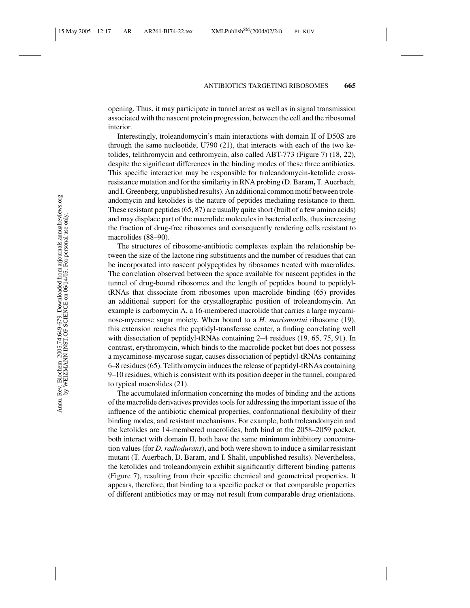opening. Thus, it may participate in tunnel arrest as well as in signal transmission associated with the nascent protein progression, between the cell and the ribosomal interior.

Interestingly, troleandomycin's main interactions with domain II of D50S are through the same nucleotide, U790 (21), that interacts with each of the two ketolides, telithromycin and cethromycin, also called ABT-773 (Figure 7) (18, 22), despite the significant differences in the binding modes of these three antibiotics. This specific interaction may be responsible for troleandomycin-ketolide crossresistance mutation and for the similarity in RNA probing (D. Baram**,** T. Auerbach, and I. Greenberg, unpublished results). An additional common motif between troleandomycin and ketolides is the nature of peptides mediating resistance to them. These resistant peptides (65, 87) are usually quite short (built of a few amino acids) and may displace part of the macrolide molecules in bacterial cells, thus increasing the fraction of drug-free ribosomes and consequently rendering cells resistant to macrolides (88–90).

The structures of ribosome-antibiotic complexes explain the relationship between the size of the lactone ring substituents and the number of residues that can be incorporated into nascent polypeptides by ribosomes treated with macrolides. The correlation observed between the space available for nascent peptides in the tunnel of drug-bound ribosomes and the length of peptides bound to peptidyltRNAs that dissociate from ribosomes upon macrolide binding (65) provides an additional support for the crystallographic position of troleandomycin. An example is carbomycin A, a 16-membered macrolide that carries a large mycaminose-mycarose sugar moiety. When bound to a *H. marismortui* ribosome (19), this extension reaches the peptidyl-transferase center, a finding correlating well with dissociation of peptidyl-tRNAs containing 2–4 residues (19, 65, 75, 91). In contrast, erythromycin, which binds to the macrolide pocket but does not possess a mycaminose-mycarose sugar, causes dissociation of peptidyl-tRNAs containing 6–8 residues (65). Telithromycin induces the release of peptidyl-tRNAs containing 9–10 residues, which is consistent with its position deeper in the tunnel, compared to typical macrolides (21).

The accumulated information concerning the modes of binding and the actions of the macrolide derivatives provides tools for addressing the important issue of the influence of the antibiotic chemical properties, conformational flexibility of their binding modes, and resistant mechanisms. For example, both troleandomycin and the ketolides are 14-membered macrolides, both bind at the 2058–2059 pocket, both interact with domain II, both have the same minimum inhibitory concentration values (for *D. radiodurans*), and both were shown to induce a similar resistant mutant (T. Auerbach, D. Baram, and I. Shalit, unpublished results). Nevertheless, the ketolides and troleandomycin exhibit significantly different binding patterns (Figure 7), resulting from their specific chemical and geometrical properties. It appears, therefore, that binding to a specific pocket or that comparable properties of different antibiotics may or may not result from comparable drug orientations.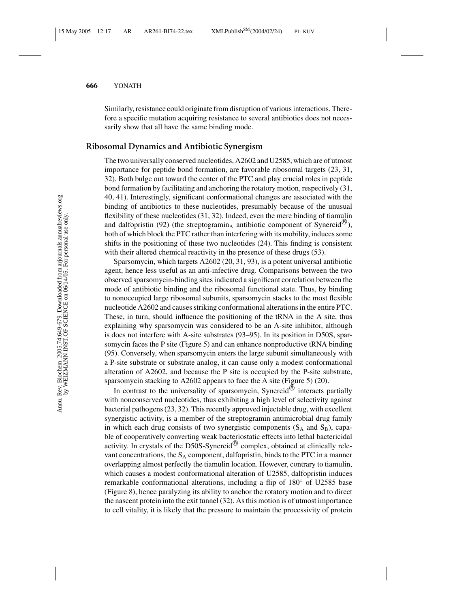Similarly, resistance could originate from disruption of various interactions. Therefore a specific mutation acquiring resistance to several antibiotics does not necessarily show that all have the same binding mode.

# **Ribosomal Dynamics and Antibiotic Synergism**

The two universally conserved nucleotides, A2602 and U2585, which are of utmost importance for peptide bond formation, are favorable ribosomal targets (23, 31, 32). Both bulge out toward the center of the PTC and play crucial roles in peptide bond formation by facilitating and anchoring the rotatory motion, respectively (31, 40, 41). Interestingly, significant conformational changes are associated with the binding of antibiotics to these nucleotides, presumably because of the unusual flexibility of these nucleotides (31, 32). Indeed, even the mere binding of tiamulin and dalfopristin (92) (the streptogramin<sub>A</sub> antibiotic component of Synercid<sup>®</sup>), both of which block the PTC rather than interfering with its mobility, induces some shifts in the positioning of these two nucleotides (24). This finding is consistent with their altered chemical reactivity in the presence of these drugs (53).

Sparsomycin, which targets A2602 (20, 31, 93), is a potent universal antibiotic agent, hence less useful as an anti-infective drug. Comparisons between the two observed sparsomycin-binding sites indicated a significant correlation between the mode of antibiotic binding and the ribosomal functional state. Thus, by binding to nonoccupied large ribosomal subunits, sparsomycin stacks to the most flexible nucleotide A2602 and causes striking conformational alterations in the entire PTC. These, in turn, should influence the positioning of the tRNA in the A site, thus explaining why sparsomycin was considered to be an A-site inhibitor, although is does not interfere with A-site substrates (93–95). In its position in D50S, sparsomycin faces the P site (Figure 5) and can enhance nonproductive tRNA binding (95). Conversely, when sparsomycin enters the large subunit simultaneously with a P-site substrate or substrate analog, it can cause only a modest conformational alteration of A2602, and because the P site is occupied by the P-site substrate, sparsomycin stacking to A2602 appears to face the A site (Figure 5) (20).

In contrast to the universality of sparsomycin, Synercid $^{\circledR}$  interacts partially with nonconserved nucleotides, thus exhibiting a high level of selectivity against bacterial pathogens (23, 32). This recently approved injectable drug, with excellent synergistic activity, is a member of the streptogramin antimicrobial drug family in which each drug consists of two synergistic components  $(S_A \text{ and } S_B)$ , capable of cooperatively converting weak bacteriostatic effects into lethal bactericidal activity. In crystals of the D50S-Synercid $\mathcal{B}$  complex, obtained at clinically relevant concentrations, the  $S_A$  component, dalfopristin, binds to the PTC in a manner overlapping almost perfectly the tiamulin location. However, contrary to tiamulin, which causes a modest conformational alteration of U2585, dalfopristin induces remarkable conformational alterations, including a flip of 180◦ of U2585 base (Figure 8), hence paralyzing its ability to anchor the rotatory motion and to direct the nascent protein into the exit tunnel (32). As this motion is of utmost importance to cell vitality, it is likely that the pressure to maintain the processivity of protein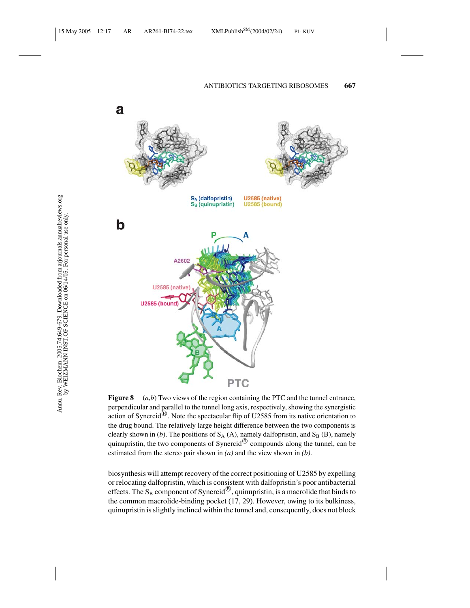

**Figure 8** (*a*,*b*) Two views of the region containing the PTC and the tunnel entrance, perpendicular and parallel to the tunnel long axis, respectively, showing the synergistic action of Synercid $^{\circledR}$ . Note the spectacular flip of U2585 from its native orientation to the drug bound. The relatively large height difference between the two components is clearly shown in (*b*). The positions of  $S_A(A)$ , namely dalfopristin, and  $S_B(B)$ , namely quinupristin, the two components of Synercid $^{\circledR}$  compounds along the tunnel, can be estimated from the stereo pair shown in *(a)* and the view shown in *(b)*.

biosynthesis will attempt recovery of the correct positioning of U2585 by expelling or relocating dalfopristin, which is consistent with dalfopristin's poor antibacterial effects. The  $S_B$  component of Synercid<sup>®</sup>, quinupristin, is a macrolide that binds to the common macrolide-binding pocket (17, 29). However, owing to its bulkiness, quinupristin is slightly inclined within the tunnel and, consequently, does not block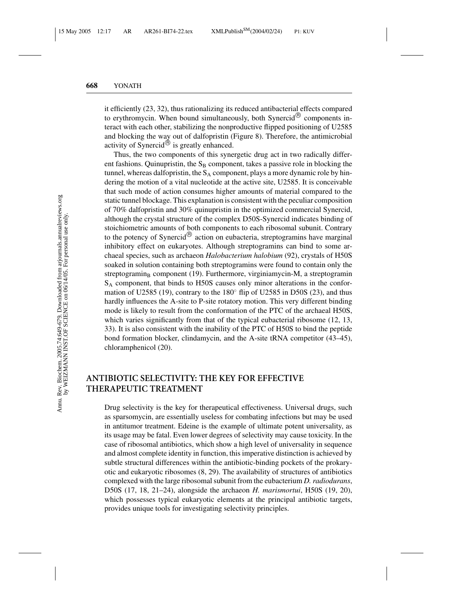it efficiently (23, 32), thus rationalizing its reduced antibacterial effects compared to erythromycin. When bound simultaneously, both Synercid $^{(8)}$  components interact with each other, stabilizing the nonproductive flipped positioning of U2585 and blocking the way out of dalfopristin (Figure 8). Therefore, the antimicrobial activity of Synercid $\bigcirc$  is greatly enhanced.

Thus, the two components of this synergetic drug act in two radically different fashions. Quinupristin, the  $S_B$  component, takes a passive role in blocking the tunnel, whereas dalfopristin, the  $S_A$  component, plays a more dynamic role by hindering the motion of a vital nucleotide at the active site, U2585. It is conceivable that such mode of action consumes higher amounts of material compared to the static tunnel blockage. This explanation is consistent with the peculiar composition of 70% dalfopristin and 30% quinupristin in the optimized commercial Synercid, although the crystal structure of the complex D50S-Synercid indicates binding of stoichiometric amounts of both components to each ribosomal subunit. Contrary to the potency of Synercid $^{\circledR}$  action on eubacteria, streptogramins have marginal inhibitory effect on eukaryotes. Although streptogramins can bind to some archaeal species, such as archaeon *Halobacterium halobium* (92), crystals of H50S soaked in solution containing both streptogramins were found to contain only the  $s$ treptogramin<sub>B</sub> component (19). Furthermore, virginiamycin-M, a streptogramin SA component, that binds to H50S causes only minor alterations in the conformation of U2585 (19), contrary to the 180◦ flip of U2585 in D50S (23), and thus hardly influences the A-site to P-site rotatory motion. This very different binding mode is likely to result from the conformation of the PTC of the archaeal H50S, which varies significantly from that of the typical eubacterial ribosome (12, 13, 33). It is also consistent with the inability of the PTC of H50S to bind the peptide bond formation blocker, clindamycin, and the A-site tRNA competitor (43–45), chloramphenicol (20).

# **ANTIBIOTIC SELECTIVITY: THE KEY FOR EFFECTIVE THERAPEUTIC TREATMENT**

Drug selectivity is the key for therapeutical effectiveness. Universal drugs, such as sparsomycin, are essentially useless for combating infections but may be used in antitumor treatment. Edeine is the example of ultimate potent universality, as its usage may be fatal. Even lower degrees of selectivity may cause toxicity. In the case of ribosomal antibiotics, which show a high level of universality in sequence and almost complete identity in function, this imperative distinction is achieved by subtle structural differences within the antibiotic-binding pockets of the prokaryotic and eukaryotic ribosomes (8, 29). The availability of structures of antibiotics complexed with the large ribosomal subunit from the eubacterium *D. radiodurans*, D50S (17, 18, 21–24), alongside the archaeon *H. marismortui*, H50S (19, 20), which possesses typical eukaryotic elements at the principal antibiotic targets, provides unique tools for investigating selectivity principles.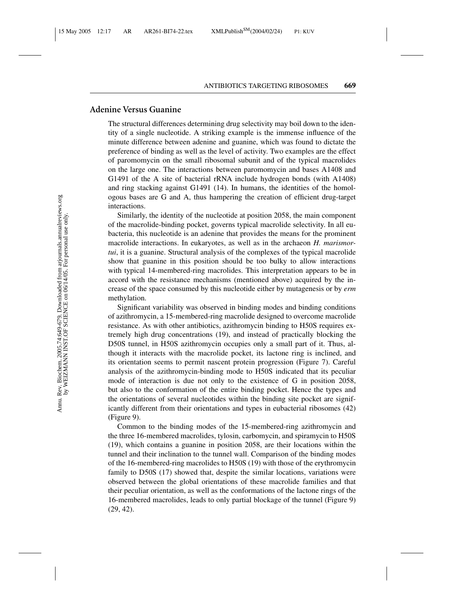#### **Adenine Versus Guanine**

The structural differences determining drug selectivity may boil down to the identity of a single nucleotide. A striking example is the immense influence of the minute difference between adenine and guanine, which was found to dictate the preference of binding as well as the level of activity. Two examples are the effect of paromomycin on the small ribosomal subunit and of the typical macrolides on the large one. The interactions between paromomycin and bases A1408 and G1491 of the A site of bacterial rRNA include hydrogen bonds (with A1408) and ring stacking against G1491 (14). In humans, the identities of the homologous bases are G and A, thus hampering the creation of efficient drug-target interactions.

Similarly, the identity of the nucleotide at position 2058, the main component of the macrolide-binding pocket, governs typical macrolide selectivity. In all eubacteria, this nucleotide is an adenine that provides the means for the prominent macrolide interactions. In eukaryotes, as well as in the archaeon *H. marismortui*, it is a guanine. Structural analysis of the complexes of the typical macrolide show that guanine in this position should be too bulky to allow interactions with typical 14-membered-ring macrolides. This interpretation appears to be in accord with the resistance mechanisms (mentioned above) acquired by the increase of the space consumed by this nucleotide either by mutagenesis or by *erm* methylation.

Significant variability was observed in binding modes and binding conditions of azithromycin, a 15-membered-ring macrolide designed to overcome macrolide resistance. As with other antibiotics, azithromycin binding to H50S requires extremely high drug concentrations (19), and instead of practically blocking the D50S tunnel, in H50S azithromycin occupies only a small part of it. Thus, although it interacts with the macrolide pocket, its lactone ring is inclined, and its orientation seems to permit nascent protein progression (Figure 7). Careful analysis of the azithromycin-binding mode to H50S indicated that its peculiar mode of interaction is due not only to the existence of G in position 2058, but also to the conformation of the entire binding pocket. Hence the types and the orientations of several nucleotides within the binding site pocket are significantly different from their orientations and types in eubacterial ribosomes (42) (Figure 9).

Common to the binding modes of the 15-membered-ring azithromycin and the three 16-membered macrolides, tylosin, carbomycin, and spiramycin to H50S (19), which contains a guanine in position 2058, are their locations within the tunnel and their inclination to the tunnel wall. Comparison of the binding modes of the 16-membered-ring macrolides to H50S (19) with those of the erythromycin family to D50S (17) showed that, despite the similar locations, variations were observed between the global orientations of these macrolide families and that their peculiar orientation, as well as the conformations of the lactone rings of the 16-membered macrolides, leads to only partial blockage of the tunnel (Figure 9) (29, 42).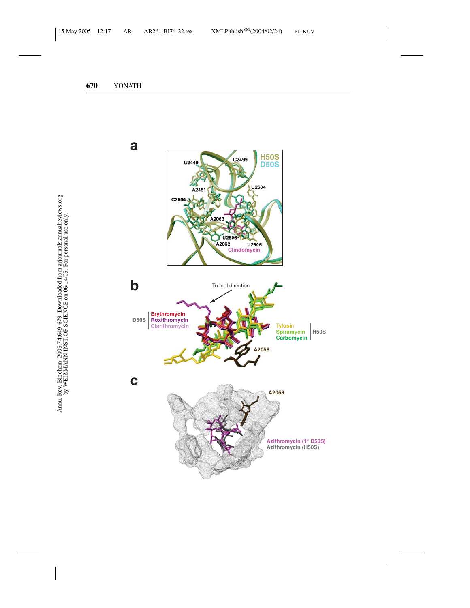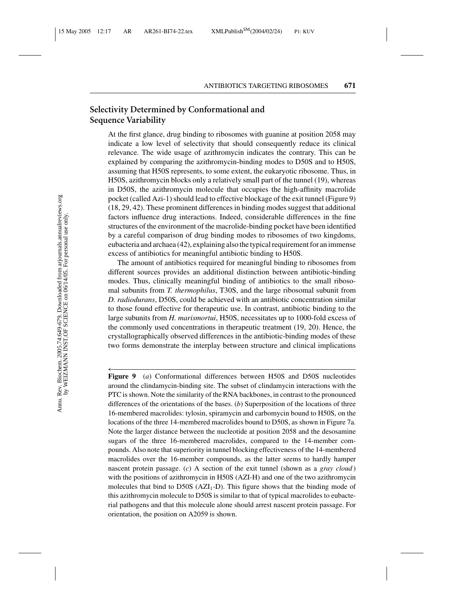# **Selectivity Determined by Conformational and Sequence Variability**

At the first glance, drug binding to ribosomes with guanine at position 2058 may indicate a low level of selectivity that should consequently reduce its clinical relevance. The wide usage of azithromycin indicates the contrary. This can be explained by comparing the azithromycin-binding modes to D50S and to H50S, assuming that H50S represents, to some extent, the eukaryotic ribosome. Thus, in H50S, azithromycin blocks only a relatively small part of the tunnel (19), whereas in D50S, the azithromycin molecule that occupies the high-affinity macrolide pocket (called Azi-1) should lead to effective blockage of the exit tunnel (Figure 9) (18, 29, 42). These prominent differences in binding modes suggest that additional factors influence drug interactions. Indeed, considerable differences in the fine structures of the environment of the macrolide-binding pocket have been identified by a careful comparison of drug binding modes to ribosomes of two kingdoms, eubacteria and archaea (42), explaining also the typical requirement for an immense excess of antibiotics for meaningful antibiotic binding to H50S.

The amount of antibiotics required for meaningful binding to ribosomes from different sources provides an additional distinction between antibiotic-binding modes. Thus, clinically meaningful binding of antibiotics to the small ribosomal subunits from *T. thermophilus*, T30S, and the large ribosomal subunit from *D. radiodurans*, D50S, could be achieved with an antibiotic concentration similar to those found effective for therapeutic use. In contrast, antibiotic binding to the large subunits from *H. marismortui*, H50S, necessitates up to 1000-fold excess of the commonly used concentrations in therapeutic treatment (19, 20). Hence, the crystallographically observed differences in the antibiotic-binding modes of these two forms demonstrate the interplay between structure and clinical implications

Figure 9 **Figure 9** (*a*) Conformational differences between H50S and D50S nucleotides around the clindamycin-binding site. The subset of clindamycin interactions with the PTC is shown. Note the similarity of the RNA backbones, in contrast to the pronounced differences of the orientations of the bases. (*b*) Superposition of the locations of three 16-membered macrolides: tylosin, spiramycin and carbomycin bound to H50S, on the locations of the three 14-membered macrolides bound to D50S, as shown in Figure 7a. Note the larger distance between the nucleotide at position 2058 and the desosamine sugars of the three 16-membered macrolides, compared to the 14-member compounds. Also note that superiority in tunnel blocking effectiveness of the 14-membered macrolides over the 16-member compounds, as the latter seems to hardly hamper nascent protein passage. (*c*) A section of the exit tunnel (shown as a *gray cloud* ) with the positions of azithromycin in H50S (AZI-H) and one of the two azithromycin molecules that bind to D50S ( $AZI_1-D$ ). This figure shows that the binding mode of this azithromycin molecule to D50S is similar to that of typical macrolides to eubacterial pathogens and that this molecule alone should arrest nascent protein passage. For orientation, the position on A2059 is shown.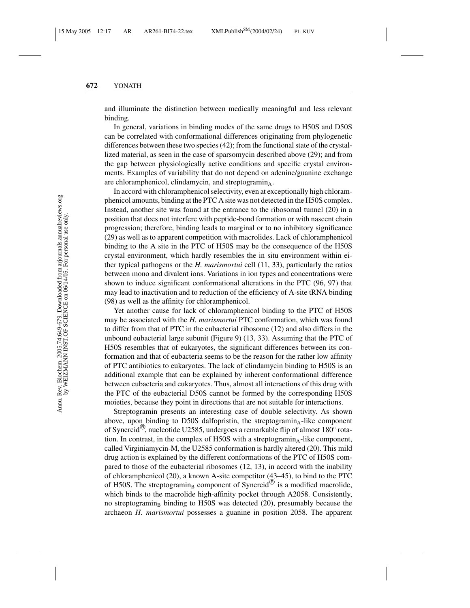and illuminate the distinction between medically meaningful and less relevant binding.

In general, variations in binding modes of the same drugs to H50S and D50S can be correlated with conformational differences originating from phylogenetic differences between these two species (42); from the functional state of the crystallized material, as seen in the case of sparsomycin described above (29); and from the gap between physiologically active conditions and specific crystal environments. Examples of variability that do not depend on adenine/guanine exchange are chloramphenicol, clindamycin, and streptogramin<sub>A</sub>.

In accord with chloramphenicol selectivity, even at exceptionally high chloramphenicol amounts, binding at the PTC A site was not detected in the H50S complex. Instead, another site was found at the entrance to the ribosomal tunnel (20) in a position that does not interfere with peptide-bond formation or with nascent chain progression; therefore, binding leads to marginal or to no inhibitory significance (29) as well as to apparent competition with macrolides. Lack of chloramphenicol binding to the A site in the PTC of H50S may be the consequence of the H50S crystal environment, which hardly resembles the in situ environment within either typical pathogens or the *H. marismortui* cell (11, 33), particularly the ratios between mono and divalent ions. Variations in ion types and concentrations were shown to induce significant conformational alterations in the PTC (96, 97) that may lead to inactivation and to reduction of the efficiency of A-site tRNA binding (98) as well as the affinity for chloramphenicol.

Yet another cause for lack of chloramphenicol binding to the PTC of H50S may be associated with the *H. marismortui* PTC conformation, which was found to differ from that of PTC in the eubacterial ribosome (12) and also differs in the unbound eubacterial large subunit (Figure 9) (13, 33). Assuming that the PTC of H50S resembles that of eukaryotes, the significant differences between its conformation and that of eubacteria seems to be the reason for the rather low affinity of PTC antibiotics to eukaryotes. The lack of clindamycin binding to H50S is an additional example that can be explained by inherent conformational difference between eubacteria and eukaryotes. Thus, almost all interactions of this drug with the PTC of the eubacterial D50S cannot be formed by the corresponding H50S moieties, because they point in directions that are not suitable for interactions.

Streptogramin presents an interesting case of double selectivity. As shown above, upon binding to D50S dalfopristin, the streptogramin<sub>A</sub>-like component of Synercid<sup>®</sup>, nucleotide U2585, undergoes a remarkable flip of almost 180 $^{\circ}$  rotation. In contrast, in the complex of H50S with a streptogramin<sub>A</sub>-like component, called Virginiamycin-M, the U2585 conformation is hardly altered (20). This mild drug action is explained by the different conformations of the PTC of H50S compared to those of the eubacterial ribosomes (12, 13), in accord with the inability of chloramphenicol (20), a known A-site competitor (43–45), to bind to the PTC of H50S. The streptogramin<sub>B</sub> component of Synercid<sup>®</sup> is a modified macrolide, which binds to the macrolide high-affinity pocket through A2058. Consistently, no streptograming binding to H50S was detected  $(20)$ , presumably because the archaeon *H. marismortui* possesses a guanine in position 2058. The apparent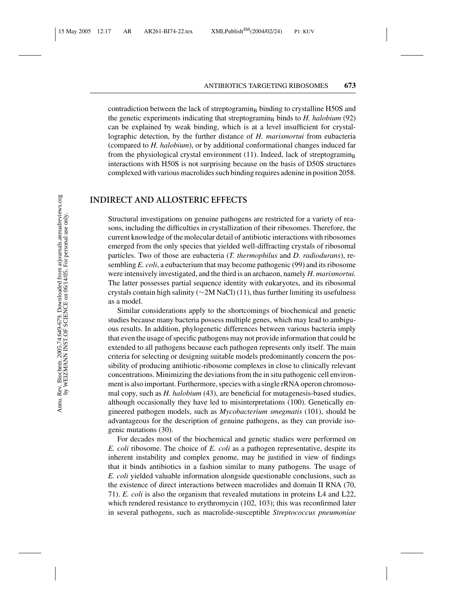contradiction between the lack of streptogramin<sub>B</sub> binding to crystalline H50S and the genetic experiments indicating that streptogramin<sub>B</sub> binds to *H. halobium* (92) can be explained by weak binding, which is at a level insufficient for crystallographic detection, by the further distance of *H. marismortui* from eubacteria (compared to *H. halobium*), or by additional conformational changes induced far from the physiological crystal environment  $(11)$ . Indeed, lack of streptograming interactions with H50S is not surprising because on the basis of D50S structures complexed with various macrolides such binding requires adenine in position 2058.

# **INDIRECT AND ALLOSTERIC EFFECTS**

Structural investigations on genuine pathogens are restricted for a variety of reasons, including the difficulties in crystallization of their ribosomes. Therefore, the current knowledge of the molecular detail of antibiotic interactions with ribosomes emerged from the only species that yielded well-diffracting crystals of ribosomal particles. Two of those are eubacteria (*T. thermophilus* and *D. radiodurans*), resembling *E. coli*, a eubacterium that may become pathogenic (99) and its ribosome were intensively investigated, and the third is an archaeon, namely *H. marismortui.* The latter possesses partial sequence identity with eukaryotes, and its ribosomal crystals contain high salinity (∼2M NaCl) (11), thus further limiting its usefulness as a model.

Similar considerations apply to the shortcomings of biochemical and genetic studies because many bacteria possess multiple genes, which may lead to ambiguous results. In addition, phylogenetic differences between various bacteria imply that even the usage of specific pathogens may not provide information that could be extended to all pathogens because each pathogen represents only itself. The main criteria for selecting or designing suitable models predominantly concern the possibility of producing antibiotic-ribosome complexes in close to clinically relevant concentrations. Minimizing the deviations from the in situ pathogenic cell environment is also important. Furthermore, species with a single rRNA operon chromosomal copy, such as *H. halobium* (43), are beneficial for mutagenesis-based studies, although occasionally they have led to misinterpretations (100). Genetically engineered pathogen models, such as *Mycobacterium smegmatis* (101), should be advantageous for the description of genuine pathogens, as they can provide isogenic mutations (30).

For decades most of the biochemical and genetic studies were performed on *E. coli* ribosome. The choice of *E. coli* as a pathogen representative, despite its inherent instability and complex genome, may be justified in view of findings that it binds antibiotics in a fashion similar to many pathogens. The usage of *E. coli* yielded valuable information alongside questionable conclusions, such as the existence of direct interactions between macrolides and domain II RNA (70, 71). *E. coli* is also the organism that revealed mutations in proteins L4 and L22, which rendered resistance to erythromycin (102, 103); this was reconfirmed later in several pathogens, such as macrolide-susceptible *Streptococcus pneumoniae*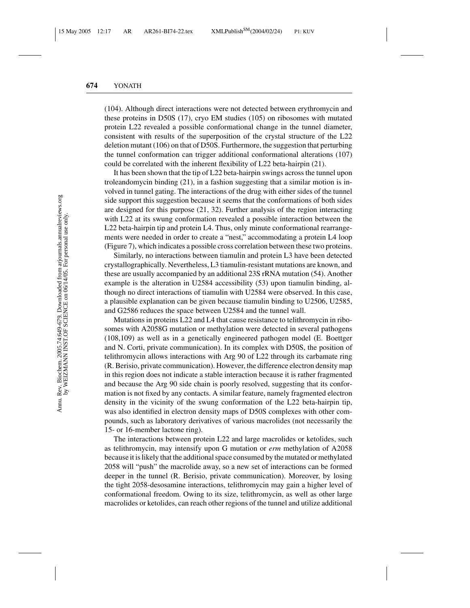(104). Although direct interactions were not detected between erythromycin and these proteins in D50S (17), cryo EM studies (105) on ribosomes with mutated protein L22 revealed a possible conformational change in the tunnel diameter, consistent with results of the superposition of the crystal structure of the L22 deletion mutant (106) on that of D50S. Furthermore, the suggestion that perturbing the tunnel conformation can trigger additional conformational alterations (107) could be correlated with the inherent flexibility of L22 beta-hairpin (21).

It has been shown that the tip of L22 beta-hairpin swings across the tunnel upon troleandomycin binding (21), in a fashion suggesting that a similar motion is involved in tunnel gating. The interactions of the drug with either sides of the tunnel side support this suggestion because it seems that the conformations of both sides are designed for this purpose (21, 32). Further analysis of the region interacting with L22 at its swung conformation revealed a possible interaction between the L22 beta-hairpin tip and protein L4. Thus, only minute conformational rearrangements were needed in order to create a "nest," accommodating a protein L4 loop (Figure 7), which indicates a possible cross correlation between these two proteins.

Similarly, no interactions between tiamulin and protein L3 have been detected crystallographically. Nevertheless, L3 tiamulin-resistant mutations are known, and these are usually accompanied by an additional 23S rRNA mutation (54). Another example is the alteration in U2584 accessibility (53) upon tiamulin binding, although no direct interactions of tiamulin with U2584 were observed. In this case, a plausible explanation can be given because tiamulin binding to U2506, U2585, and G2586 reduces the space between U2584 and the tunnel wall.

Mutations in proteins L22 and L4 that cause resistance to telithromycin in ribosomes with A2058G mutation or methylation were detected in several pathogens (108,109) as well as in a genetically engineered pathogen model (E. Boettger and N. Corti, private communication). In its complex with D50S, the position of telithromycin allows interactions with Arg 90 of L22 through its carbamate ring (R. Berisio, private communication). However, the difference electron density map in this region does not indicate a stable interaction because it is rather fragmented and because the Arg 90 side chain is poorly resolved, suggesting that its conformation is not fixed by any contacts. A similar feature, namely fragmented electron density in the vicinity of the swung conformation of the L22 beta-hairpin tip, was also identified in electron density maps of D50S complexes with other compounds, such as laboratory derivatives of various macrolides (not necessarily the 15- or 16-member lactone ring).

The interactions between protein L22 and large macrolides or ketolides, such as telithromycin, may intensify upon G mutation or *erm* methylation of A2058 because it is likely that the additional space consumed by the mutated or methylated 2058 will "push" the macrolide away, so a new set of interactions can be formed deeper in the tunnel (R. Berisio, private communication). Moreover, by losing the tight 2058-desosamine interactions, telithromycin may gain a higher level of conformational freedom. Owing to its size, telithromycin, as well as other large macrolides or ketolides, can reach other regions of the tunnel and utilize additional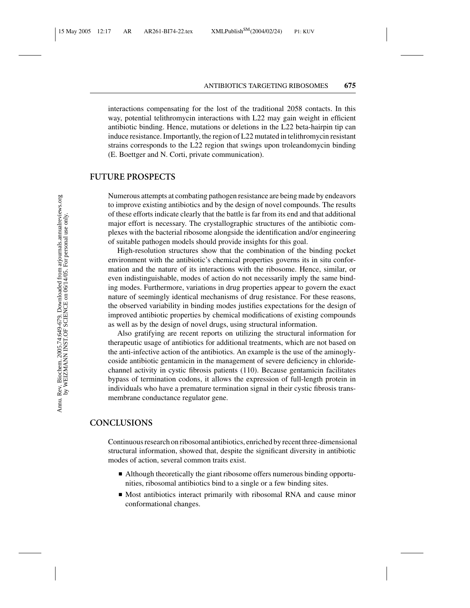interactions compensating for the lost of the traditional 2058 contacts. In this way, potential telithromycin interactions with L22 may gain weight in efficient antibiotic binding. Hence, mutations or deletions in the L22 beta-hairpin tip can induce resistance. Importantly, the region of L22 mutated in telithromycin resistant strains corresponds to the L22 region that swings upon troleandomycin binding (E. Boettger and N. Corti, private communication).

## **FUTURE PROSPECTS**

Numerous attempts at combating pathogen resistance are being made by endeavors to improve existing antibiotics and by the design of novel compounds. The results of these efforts indicate clearly that the battle is far from its end and that additional major effort is necessary. The crystallographic structures of the antibiotic complexes with the bacterial ribosome alongside the identification and/or engineering of suitable pathogen models should provide insights for this goal.

High-resolution structures show that the combination of the binding pocket environment with the antibiotic's chemical properties governs its in situ conformation and the nature of its interactions with the ribosome. Hence, similar, or even indistinguishable, modes of action do not necessarily imply the same binding modes. Furthermore, variations in drug properties appear to govern the exact nature of seemingly identical mechanisms of drug resistance. For these reasons, the observed variability in binding modes justifies expectations for the design of improved antibiotic properties by chemical modifications of existing compounds as well as by the design of novel drugs, using structural information.

Also gratifying are recent reports on utilizing the structural information for therapeutic usage of antibiotics for additional treatments, which are not based on the anti-infective action of the antibiotics. An example is the use of the aminoglycoside antibiotic gentamicin in the management of severe deficiency in chloridechannel activity in cystic fibrosis patients (110). Because gentamicin facilitates bypass of termination codons, it allows the expression of full-length protein in individuals who have a premature termination signal in their cystic fibrosis transmembrane conductance regulator gene.

# **CONCLUSIONS**

Continuous research on ribosomal antibiotics, enriched by recent three-dimensional structural information, showed that, despite the significant diversity in antibiotic modes of action, several common traits exist.

- Although theoretically the giant ribosome offers numerous binding opportunities, ribosomal antibiotics bind to a single or a few binding sites.
- Most antibiotics interact primarily with ribosomal RNA and cause minor conformational changes.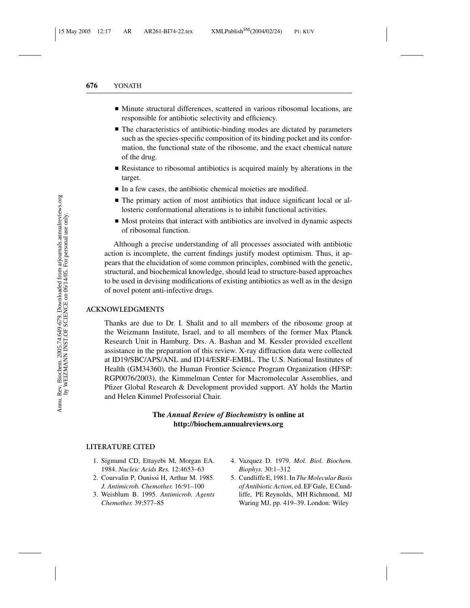- Minute structural differences, scattered in various ribosomal locations, are responsible for antibiotic selectivity and efficiency.
- $\blacksquare$  The characteristics of antibiotic-binding modes are dictated by parameters such as the species-specific composition of its binding pocket and its conformation, the functional state of the ribosome, and the exact chemical nature of the drug.
- Resistance to ribosomal antibiotics is acquired mainly by alterations in the target.
- In a few cases, the antibiotic chemical moieties are modified.
- The primary action of most antibiotics that induce significant local or allosteric conformational alterations is to inhibit functional activities.
- $\blacksquare$  Most proteins that interact with antibiotics are involved in dynamic aspects of ribosomal function.

Although a precise understanding of all processes associated with antibiotic action is incomplete, the current findings justify modest optimism. Thus, it appears that the elucidation of some common principles, combined with the genetic, structural, and biochemical knowledge, should lead to structure-based approaches to be used in devising modifications of existing antibiotics as well as in the design of novel potent anti-infective drugs.

#### **ACKNOWLEDGMENTS**

Thanks are due to Dr. I. Shalit and to all members of the ribosome group at the Weizmann Institute, Israel, and to all members of the former Max Planck Research Unit in Hamburg. Drs. A. Bashan and M. Kessler provided excellent assistance in the preparation of this review. X-ray diffraction data were collected at ID19/SBC/APS/ANL and ID14/ESRF-EMBL. The U.S. National Institutes of Health (GM34360), the Human Frontier Science Program Organization (HFSP: RGP0076/2003), the Kimmelman Center for Macromolecular Assemblies, and Pfizer Global Research & Development provided support. AY holds the Martin and Helen Kimmel Professorial Chair.

## **The** *Annual Review of Biochemistry* **is online at http://biochem.annualreviews.org**

#### **LITERATURE CITED**

- 1. Sigmund CD, Ettayebi M, Morgan EA. 1984. *Nucleic Acids Res.* 12:4653–63
- 2. Courvalin P, Ounissi H, Arthur M. 1985. *J. Antimicrob. Chemother.* 16:91–100
- 3. Weisblum B. 1995. *Antimicrob. Agents Chemother.* 39:577–85
- 4. Vazquez D. 1979. *Mol. Biol. Biochem. Biophys.* 30:1–312
- 5. Cundliffe E, 1981. In *The Molecular Basis of Antibiotic Action*, ed. EF Gale, E Cundliffe, PE Reynolds, MH Richmond, MJ Waring MJ, pp. 419–39. London: Wiley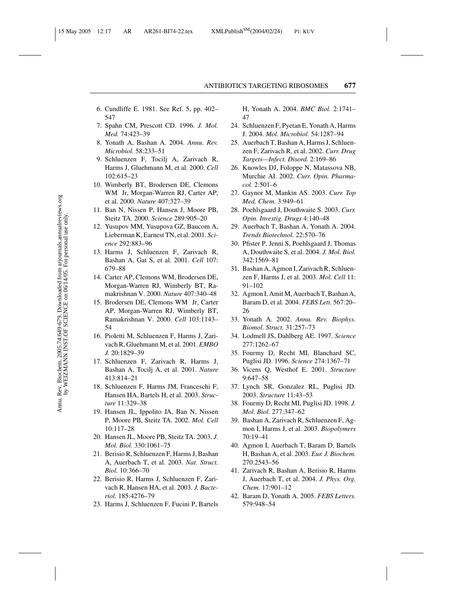- 6. Cundliffe E. 1981. See Ref. 5, pp. 402– 547
- 7. Spahn CM, Prescott CD. 1996. *J. Mol. Med.* 74:423–39
- 8. Yonath A, Bashan A. 2004. *Annu. Rev. Microbiol.* 58:233–51
- 9. Schluenzen F, Tocilj A, Zarivach R, Harms J, Gluehmann M, et al. 2000. *Cell* 102:615–23
- 10. Wimberly BT, Brodersen DE, Clemons WM Jr, Morgan-Warren RJ, Carter AP, et al. 2000. *Nature* 407:327–39
- 11. Ban N, Nissen P, Hansen J, Moore PB, Steitz TA. 2000. *Science* 289:905–20
- 12. Yusupov MM, Yusupova GZ, Baucom A, Lieberman K, Earnest TN, et al. 2001. *Science* 292:883–96
- 13. Harms J, Schluenzen F, Zarivach R, Bashan A, Gat S, et al. 2001. *Cell* 107: 679–88
- 14. Carter AP, Clemons WM, Brodersen DE, Morgan-Warren RJ, Wimberly BT, Ramakrishnan V. 2000. *Nature* 407:340–48
- 15. Brodersen DE, Clemons WM Jr, Carter AP, Morgan-Warren RJ, Wimberly BT, Ramakrishnan V. 2000. *Cell* 103:1143– 54
- 16. Pioletti M, Schluenzen F, Harms J, Zarivach R, Gluehmann M, et al. 2001. *EMBO J.* 20:1829–39
- 17. Schluenzen F, Zarivach R, Harms J, Bashan A, Tocilj A, et al. 2001. *Nature* 413:814–21
- 18. Schluenzen F, Harms JM, Franceschi F, Hansen HA, Bartels H, et al. 2003. *Structure* 11:329–38
- 19. Hansen JL, Ippolito JA, Ban N, Nissen P, Moore PB, Steitz TA. 2002. *Mol. Cell* 10:117–28
- 20. Hansen JL, Moore PB, Steitz TA. 2003. *J. Mol. Biol.* 330:1061–75
- 21. Berisio R, Schluenzen F, Harms J, Bashan A, Auerbach T, et al. 2003. *Nat. Struct. Biol.* 10:366–70
- 22. Berisio R, Harms J, Schluenzen F, Zarivach R, Hansen HA, et al. 2003. *J. Bacteriol.* 185:4276–79
- 23. Harms J, Schluenzen F, Fucini P, Bartels

H, Yonath A. 2004. *BMC Biol.* 2:1741– 47

- 24. Schluenzen F, Pyetan E, Yonath A, Harms J. 2004. *Mol. Microbiol.* 54:1287–94
- 25. Auerbach T, Bashan A, Harms J, Schluenzen F, Zarivach R, et al. 2002. *Curr. Drug Targets—Infect. Disord.* 2:169–86
- 26. Knowles DJ, Foloppe N, Matassova NB, Murchie AI. 2002. *Curr. Opin. Pharmacol.* 2:501–6
- 27. Gaynor M, Mankin AS. 2003. *Curr. Top Med. Chem.* 3:949–61
- 28. Poehlsgaard J, Douthwaite S. 2003. *Curr. Opin. Investig. Drugs* 4:140–48
- 29. Auerbach T, Bashan A, Yonath A. 2004. *Trends Biotechnol.* 22:570–76
- 30. Pfister P, Jenni S, Poehlsgaard J, Thomas A, Douthwaite S, et al. 2004. *J. Mol. Biol.* 342:1569–81
- 31. Bashan A, Agmon I, Zarivach R, Schluenzen F, Harms J, et al. 2003. *Mol. Cell* 11: 91–102
- 32. Agmon I, Amit M, Auerbach T, Bashan A, Baram D, et al. 2004. *FEBS Lett.* 567:20– 26
- 33. Yonath A. 2002. *Annu. Rev. Biophys. Biomol. Struct.* 31:257–73
- 34. Lodmell JS, Dahlberg AE. 1997. *Science* 277:1262–67
- 35. Fourmy D, Recht MI, Blanchard SC, Puglisi JD. 1996. *Science* 274:1367–71
- 36. Vicens Q, Westhof E. 2001. *Structure* 9:647–58
- 37. Lynch SR, Gonzalez RL, Puglisi JD. 2003. *Structure* 11:43–53
- 38. Fourmy D, Recht MI, Puglisi JD. 1998. *J. Mol. Biol.* 277:347–62
- 39. Bashan A, Zarivach R, Schluenzen F, Agmon I, Harms J, et al. 2003. *Biopolymers* 70:19–41
- 40. Agmon I, Auerbach T, Baram D, Bartels H, Bashan A, et al. 2003. *Eur. J. Biochem.* 270:2543–56
- 41. Zarivach R, Bashan A, Berisio R, Harms J, Auerbach T, et al. 2004. *J. Phys. Org. Chem.* 17:901–12
- 42. Baram D, Yonath A. 2005. *FEBS Letters.* 579:948–54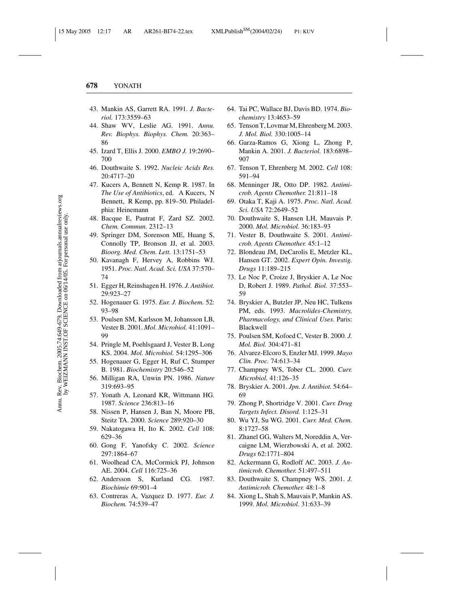- 43. Mankin AS, Garrett RA. 1991. *J. Bacteriol.* 173:3559–63
- 44. Shaw WV, Leslie AG. 1991. *Annu. Rev. Biophys. Biophys. Chem.* 20:363– 86
- 45. Izard T, Ellis J. 2000. *EMBO J.* 19:2690– 700
- 46. Douthwaite S. 1992. *Nucleic Acids Res.* 20:4717–20
- 47. Kucers A, Bennett N, Kemp R. 1987. In *The Use of Antibiotics*, ed. A Kucers, N Bennett, R Kemp, pp. 819–50. Philadelphia: Heinemann
- 48. Bacque E, Pautrat F, Zard SZ. 2002. *Chem. Commun.* 2312–13
- 49. Springer DM, Sorenson ME, Huang S, Connolly TP, Bronson JJ, et al. 2003. *Bioorg. Med. Chem. Lett.* 13:1751–53
- 50. Kavanagh F, Hervey A, Robbins WJ. 1951. *Proc. Natl. Acad. Sci. USA* 37:570– 74
- 51. Egger H, Reinshagen H. 1976. *J. Antibiot.* 29:923–27
- 52. Hogenauer G. 1975. *Eur. J. Biochem.* 52: 93–98
- 53. Poulsen SM, Karlsson M, Johansson LB, Vester B. 2001. *Mol. Microbiol.* 41:1091– 99
- 54. Pringle M, Poehlsgaard J, Vester B, Long KS. 2004. *Mol. Microbiol.* 54:1295–306
- 55. Hogenauer G, Egger H, Ruf C, Stumper B. 1981. *Biochemistry* 20:546–52
- 56. Milligan RA, Unwin PN. 1986. *Nature* 319:693–95
- 57. Yonath A, Leonard KR, Wittmann HG. 1987. *Science* 236:813–16
- 58. Nissen P, Hansen J, Ban N, Moore PB, Steitz TA. 2000. *Science* 289:920–30
- 59. Nakatogawa H, Ito K. 2002. *Cell* 108: 629–36
- 60. Gong F, Yanofsky C. 2002. *Science* 297:1864–67
- 61. Woolhead CA, McCormick PJ, Johnson AE. 2004. *Cell* 116:725–36
- 62. Andersson S, Kurland CG. 1987. *Biochimie* 69:901–4
- 63. Contreras A, Vazquez D. 1977. *Eur. J. Biochem.* 74:539–47
- 64. Tai PC, Wallace BJ, Davis BD. 1974. *Biochemistry* 13:4653–59
- 65. Tenson T, Lovmar M, Ehrenberg M. 2003. *J. Mol. Biol.* 330:1005–14
- 66. Garza-Ramos G, Xiong L, Zhong P, Mankin A. 2001. *J. Bacteriol.* 183:6898– 907
- 67. Tenson T, Ehrenberg M. 2002. *Cell* 108: 591–94
- 68. Menninger JR, Otto DP. 1982. *Antimicrob. Agents Chemother.* 21:811–18
- 69. Otaka T, Kaji A. 1975. *Proc. Natl. Acad. Sci. USA* 72:2649–52
- 70. Douthwaite S, Hansen LH, Mauvais P. 2000. *Mol. Microbiol.* 36:183–93
- 71. Vester B, Douthwaite S. 2001. *Antimicrob. Agents Chemother.* 45:1–12
- 72. Blondeau JM, DeCarolis E, Metzler KL, Hansen GT. 2002. *Expert Opin. Investig. Drugs* 11:189–215
- 73. Le Noc P, Croize J, Bryskier A, Le Noc D, Robert J. 1989. *Pathol. Biol.* 37:553– 59
- 74. Bryskier A, Butzler JP, Neu HC, Tulkens PM, eds. 1993. *Macrolides-Chemistry, Pharmacology, and Clinical Uses*. Paris: Blackwell
- 75. Poulsen SM, Kofoed C, Vester B. 2000. *J. Mol. Biol.* 304:471–81
- 76. Alvarez-Elcoro S, Enzler MJ. 1999. *Mayo Clin. Proc.* 74:613–34
- 77. Champney WS, Tober CL. 2000. *Curr. Microbiol.* 41:126–35
- 78. Bryskier A. 2001. *Jpn. J. Antibiot.* 54:64– 69
- 79. Zhong P, Shortridge V. 2001. *Curr. Drug Targets Infect. Disord.* 1:125–31
- 80. Wu YJ, Su WG. 2001. *Curr. Med. Chem.* 8:1727–58
- 81. Zhanel GG, Walters M, Noreddin A, Vercaigne LM, Wierzbowski A, et al. 2002. *Drugs* 62:1771–804
- 82. Ackermann G, Rodloff AC. 2003. *J. Antimicrob. Chemother.* 51:497–511
- 83. Douthwaite S, Champney WS. 2001. *J. Antimicrob. Chemother.* 48:1–8
- 84. Xiong L, Shah S, Mauvais P, Mankin AS. 1999. *Mol. Microbiol.* 31:633–39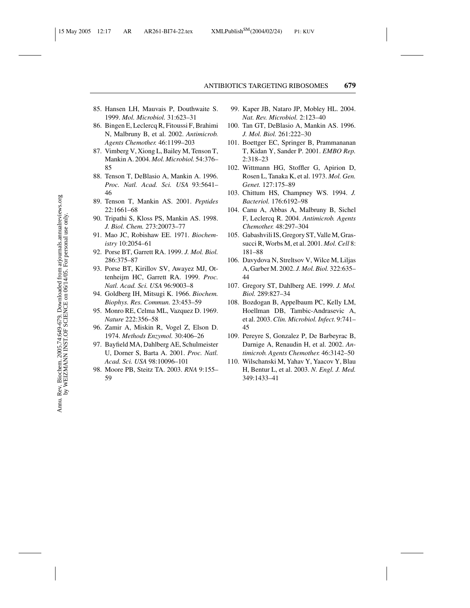- 85. Hansen LH, Mauvais P, Douthwaite S. 1999. *Mol. Microbiol.* 31:623–31
- 86. Bingen E, Leclercq R, Fitoussi F, Brahimi N, Malbruny B, et al. 2002. *Antimicrob. Agents Chemother.* 46:1199–203
- 87. Vimberg V, Xiong L, Bailey M, Tenson T, Mankin A. 2004. *Mol. Microbiol.* 54:376– 85
- 88. Tenson T, DeBlasio A, Mankin A. 1996. *Proc. Natl. Acad. Sci. USA* 93:5641– 46
- 89. Tenson T, Mankin AS. 2001. *Peptides* 22:1661–68
- 90. Tripathi S, Kloss PS, Mankin AS. 1998. *J. Biol. Chem.* 273:20073–77
- 91. Mao JC, Robishaw EE. 1971. *Biochemistry* 10:2054–61
- 92. Porse BT, Garrett RA. 1999. *J. Mol. Biol.* 286:375–87
- 93. Porse BT, Kirillov SV, Awayez MJ, Ottenheijm HC, Garrett RA. 1999. *Proc. Natl. Acad. Sci. USA* 96:9003–8
- 94. Goldberg IH, Mitsugi K. 1966. *Biochem. Biophys. Res. Commun.* 23:453–59
- 95. Monro RE, Celma ML, Vazquez D. 1969. *Nature* 222:356–58
- 96. Zamir A, Miskin R, Vogel Z, Elson D. 1974. *Methods Enzymol.* 30:406–26
- 97. Bayfield MA, Dahlberg AE, Schulmeister U, Dorner S, Barta A. 2001. *Proc. Natl. Acad. Sci. USA* 98:10096–101
- 98. Moore PB, Steitz TA. 2003. *RNA* 9:155– 59
- 99. Kaper JB, Nataro JP, Mobley HL. 2004. *Nat. Rev. Microbiol.* 2:123–40
- 100. Tan GT, DeBlasio A, Mankin AS. 1996. *J. Mol. Biol.* 261:222–30
- 101. Boettger EC, Springer B, Prammananan T, Kidan Y, Sander P. 2001. *EMBO Rep.* 2:318–23
- 102. Wittmann HG, Stoffler G, Apirion D, Rosen L, Tanaka K, et al. 1973. *Mol. Gen. Genet.* 127:175–89
- 103. Chittum HS, Champney WS. 1994. *J. Bacteriol.* 176:6192–98
- 104. Canu A, Abbas A, Malbruny B, Sichel F, Leclercq R. 2004. *Antimicrob. Agents Chemother.* 48:297–304
- 105. Gabashvili IS, Gregory ST, Valle M, Grassucci R, Worbs M, et al. 2001. *Mol. Cell* 8: 181–88
- 106. Davydova N, Streltsov V, Wilce M, Liljas A, Garber M. 2002. *J. Mol. Biol.* 322:635– 44
- 107. Gregory ST, Dahlberg AE. 1999. *J. Mol. Biol.* 289:827–34
- 108. Bozdogan B, Appelbaum PC, Kelly LM, Hoellman DB, Tambic-Andrasevic A, et al. 2003. *Clin. Microbiol. Infect.* 9:741– 45
- 109. Pereyre S, Gonzalez P, De Barbeyrac B, Darnige A, Renaudin H, et al. 2002. *Antimicrob. Agents Chemother.* 46:3142–50
- 110. Wilschanski M, Yahav Y, Yaacov Y, Blau H, Bentur L, et al. 2003. *N. Engl. J. Med.* 349:1433–41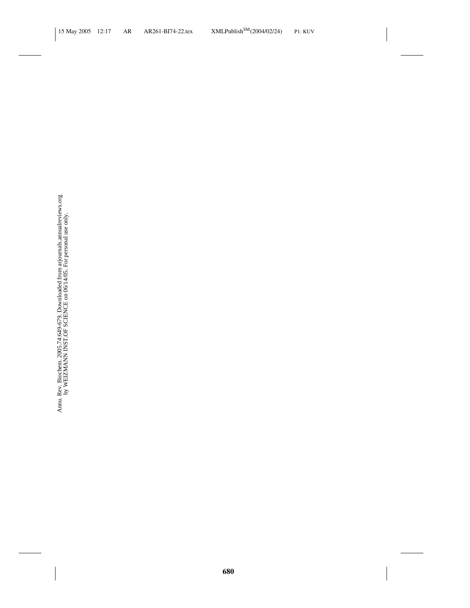Annu. Rev. Biochem. 2005.74:649-679. Downloaded from arjournals.annualreviews.org<br>by WEIZMANN INST.OF SCIENCE on 06/14/05. For personal use only. Annu. Rev. Biochem. 2005.74:649-679. Downloaded from arjournals.annualreviews.org by WEIZMANN INST.OF SCIENCE on 06/14/05. For personal use only.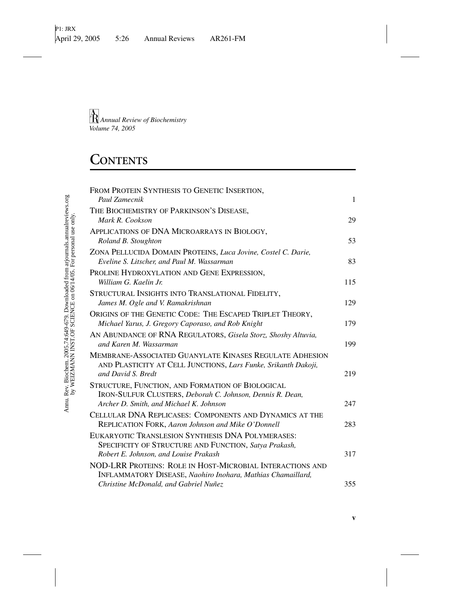# **CONTENTS**

| FROM PROTEIN SYNTHESIS TO GENETIC INSERTION,                                                                                                             |              |
|----------------------------------------------------------------------------------------------------------------------------------------------------------|--------------|
| Paul Zamecnik                                                                                                                                            | $\mathbf{1}$ |
| THE BIOCHEMISTRY OF PARKINSON'S DISEASE,<br>Mark R. Cookson                                                                                              | 29           |
| APPLICATIONS OF DNA MICROARRAYS IN BIOLOGY,<br>Roland B. Stoughton                                                                                       | 53           |
| ZONA PELLUCIDA DOMAIN PROTEINS, Luca Jovine, Costel C. Darie,<br>Eveline S. Litscher, and Paul M. Wassarman                                              | 83           |
| PROLINE HYDROXYLATION AND GENE EXPRESSION,<br>William G. Kaelin Jr.                                                                                      | 115          |
| STRUCTURAL INSIGHTS INTO TRANSLATIONAL FIDELITY,<br>James M. Ogle and V. Ramakrishnan                                                                    | 129          |
| ORIGINS OF THE GENETIC CODE: THE ESCAPED TRIPLET THEORY,<br>Michael Yarus, J. Gregory Caporaso, and Rob Knight                                           | 179          |
| AN ABUNDANCE OF RNA REGULATORS, Gisela Storz, Shoshy Altuvia,<br>and Karen M. Wassarman                                                                  | 199          |
| MEMBRANE-ASSOCIATED GUANYLATE KINASES REGULATE ADHESION<br>AND PLASTICITY AT CELL JUNCTIONS, Lars Funke, Srikanth Dakoji,<br>and David S. Bredt          | 219          |
| STRUCTURE, FUNCTION, AND FORMATION OF BIOLOGICAL<br>IRON-SULFUR CLUSTERS, Deborah C. Johnson, Dennis R. Dean,<br>Archer D. Smith, and Michael K. Johnson | 247          |
| CELLULAR DNA REPLICASES: COMPONENTS AND DYNAMICS AT THE<br>REPLICATION FORK, Aaron Johnson and Mike O'Donnell                                            | 283          |
| EUKARYOTIC TRANSLESION SYNTHESIS DNA POLYMERASES:<br>SPECIFICITY OF STRUCTURE AND FUNCTION, Satya Prakash,<br>Robert E. Johnson, and Louise Prakash      | 317          |
| NOD-LRR PROTEINS: ROLE IN HOST-MICROBIAL INTERACTIONS AND<br>INFLAMMATORY DISEASE, Naohiro Inohara, Mathias Chamaillard,                                 |              |
| Christine McDonald, and Gabriel Nuñez                                                                                                                    | 355          |